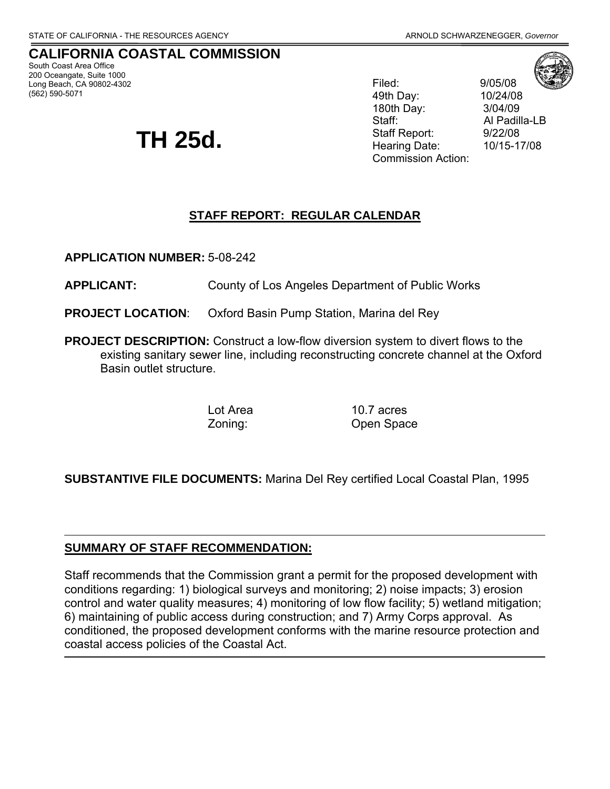#### **CALIFORNIA COASTAL COMMISSION**  South Coast Area Office

200 Oceangate, Suite 1000 Long Beach, CA 90802-4302 (562) 590-5071

# **TH 25d.**

Filed: 9/05/08 49th Day: 10/24/08 180th Day: 3/04/09 Staff: Al Padilla-LB Staff Report: 9/22/08 Hearing Date: 10/15-17/08 Commission Action:

# **STAFF REPORT: REGULAR CALENDAR**

**APPLICATION NUMBER:** 5-08-242

**APPLICANT:** County of Los Angeles Department of Public Works

**PROJECT LOCATION**: Oxford Basin Pump Station, Marina del Rey

**PROJECT DESCRIPTION:** Construct a low-flow diversion system to divert flows to the existing sanitary sewer line, including reconstructing concrete channel at the Oxford Basin outlet structure.

Lot Area 10.7 acres Zoning: Open Space

# **SUBSTANTIVE FILE DOCUMENTS:** Marina Del Rey certified Local Coastal Plan, 1995

## **SUMMARY OF STAFF RECOMMENDATION:**

Staff recommends that the Commission grant a permit for the proposed development with conditions regarding: 1) biological surveys and monitoring; 2) noise impacts; 3) erosion control and water quality measures; 4) monitoring of low flow facility; 5) wetland mitigation; 6) maintaining of public access during construction; and 7) Army Corps approval. As conditioned, the proposed development conforms with the marine resource protection and coastal access policies of the Coastal Act.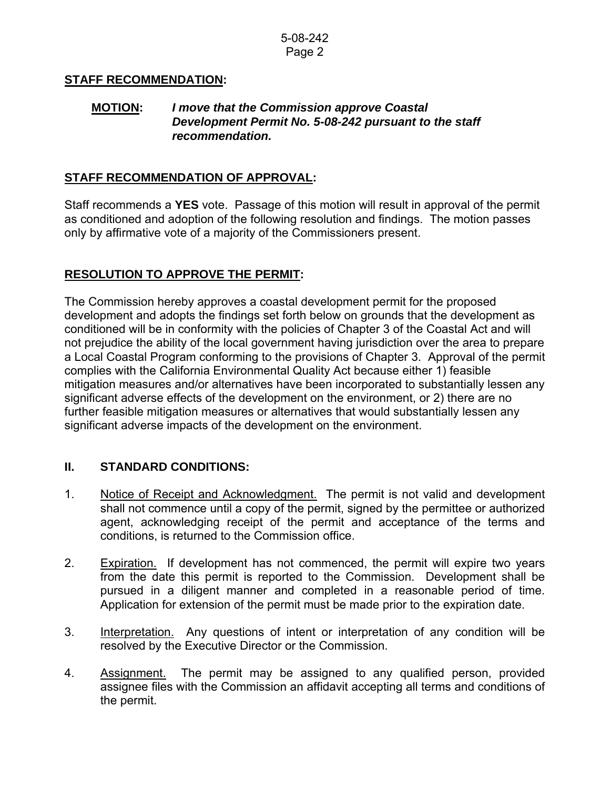## **STAFF RECOMMENDATION:**

## **MOTION:** *I move that the Commission approve Coastal Development Permit No. 5-08-242 pursuant to the staff recommendation.*

## **STAFF RECOMMENDATION OF APPROVAL:**

Staff recommends a **YES** vote. Passage of this motion will result in approval of the permit as conditioned and adoption of the following resolution and findings. The motion passes only by affirmative vote of a majority of the Commissioners present.

# **RESOLUTION TO APPROVE THE PERMIT:**

The Commission hereby approves a coastal development permit for the proposed development and adopts the findings set forth below on grounds that the development as conditioned will be in conformity with the policies of Chapter 3 of the Coastal Act and will not prejudice the ability of the local government having jurisdiction over the area to prepare a Local Coastal Program conforming to the provisions of Chapter 3. Approval of the permit complies with the California Environmental Quality Act because either 1) feasible mitigation measures and/or alternatives have been incorporated to substantially lessen any significant adverse effects of the development on the environment, or 2) there are no further feasible mitigation measures or alternatives that would substantially lessen any significant adverse impacts of the development on the environment.

## **II. STANDARD CONDITIONS:**

- 1. Notice of Receipt and Acknowledgment. The permit is not valid and development shall not commence until a copy of the permit, signed by the permittee or authorized agent, acknowledging receipt of the permit and acceptance of the terms and conditions, is returned to the Commission office.
- 2. Expiration. If development has not commenced, the permit will expire two years from the date this permit is reported to the Commission. Development shall be pursued in a diligent manner and completed in a reasonable period of time. Application for extension of the permit must be made prior to the expiration date.
- 3. Interpretation. Any questions of intent or interpretation of any condition will be resolved by the Executive Director or the Commission.
- 4. Assignment. The permit may be assigned to any qualified person, provided assignee files with the Commission an affidavit accepting all terms and conditions of the permit.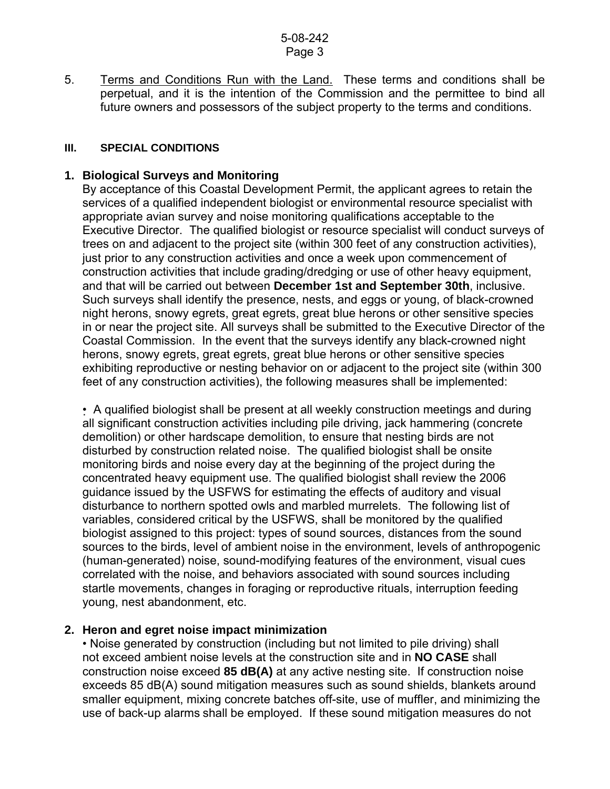5. Terms and Conditions Run with the Land. These terms and conditions shall be perpetual, and it is the intention of the Commission and the permittee to bind all future owners and possessors of the subject property to the terms and conditions.

#### **III. SPECIAL CONDITIONS**

## **1. Biological Surveys and Monitoring**

By acceptance of this Coastal Development Permit, the applicant agrees to retain the services of a qualified independent biologist or environmental resource specialist with appropriate avian survey and noise monitoring qualifications acceptable to the Executive Director. The qualified biologist or resource specialist will conduct surveys of trees on and adjacent to the project site (within 300 feet of any construction activities), just prior to any construction activities and once a week upon commencement of construction activities that include grading/dredging or use of other heavy equipment, and that will be carried out between **December 1st and September 30th**, inclusive. Such surveys shall identify the presence, nests, and eggs or young, of black-crowned night herons, snowy egrets, great egrets, great blue herons or other sensitive species in or near the project site. All surveys shall be submitted to the Executive Director of the Coastal Commission. In the event that the surveys identify any black-crowned night herons, snowy egrets, great egrets, great blue herons or other sensitive species exhibiting reproductive or nesting behavior on or adjacent to the project site (within 300 feet of any construction activities), the following measures shall be implemented:

• A qualified biologist shall be present at all weekly construction meetings and during all significant construction activities including pile driving, jack hammering (concrete demolition) or other hardscape demolition, to ensure that nesting birds are not disturbed by construction related noise. The qualified biologist shall be onsite monitoring birds and noise every day at the beginning of the project during the concentrated heavy equipment use. The qualified biologist shall review the 2006 guidance issued by the USFWS for estimating the effects of auditory and visual disturbance to northern spotted owls and marbled murrelets. The following list of variables, considered critical by the USFWS, shall be monitored by the qualified biologist assigned to this project: types of sound sources, distances from the sound sources to the birds, level of ambient noise in the environment, levels of anthropogenic (human-generated) noise, sound-modifying features of the environment, visual cues correlated with the noise, and behaviors associated with sound sources including startle movements, changes in foraging or reproductive rituals, interruption feeding young, nest abandonment, etc.

## **2. Heron and egret noise impact minimization**

• Noise generated by construction (including but not limited to pile driving) shall not exceed ambient noise levels at the construction site and in **NO CASE** shall construction noise exceed **85 dB(A)** at any active nesting site. If construction noise exceeds 85 dB(A) sound mitigation measures such as sound shields, blankets around smaller equipment, mixing concrete batches off-site, use of muffler, and minimizing the use of back-up alarms shall be employed. If these sound mitigation measures do not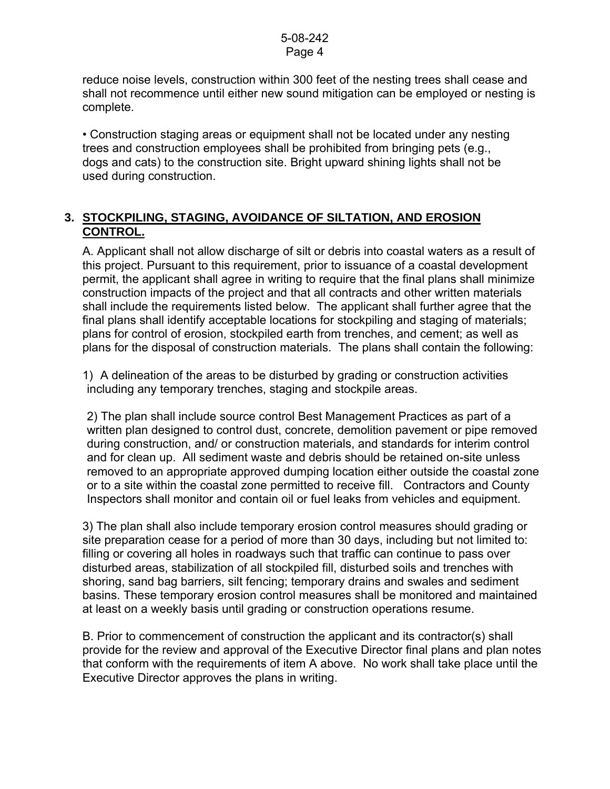reduce noise levels, construction within 300 feet of the nesting trees shall cease and shall not recommence until either new sound mitigation can be employed or nesting is complete.

• Construction staging areas or equipment shall not be located under any nesting trees and construction employees shall be prohibited from bringing pets (e.g., dogs and cats) to the construction site. Bright upward shining lights shall not be used during construction.

# **3. STOCKPILING, STAGING, AVOIDANCE OF SILTATION, AND EROSION CONTROL.**

 A. Applicant shall not allow discharge of silt or debris into coastal waters as a result of this project. Pursuant to this requirement, prior to issuance of a coastal development permit, the applicant shall agree in writing to require that the final plans shall minimize construction impacts of the project and that all contracts and other written materials shall include the requirements listed below. The applicant shall further agree that the final plans shall identify acceptable locations for stockpiling and staging of materials; plans for control of erosion, stockpiled earth from trenches, and cement; as well as plans for the disposal of construction materials. The plans shall contain the following:

1) A delineation of the areas to be disturbed by grading or construction activities including any temporary trenches, staging and stockpile areas.

 2) The plan shall include source control Best Management Practices as part of a written plan designed to control dust, concrete, demolition pavement or pipe removed during construction, and/ or construction materials, and standards for interim control and for clean up. All sediment waste and debris should be retained on-site unless removed to an appropriate approved dumping location either outside the coastal zone or to a site within the coastal zone permitted to receive fill. Contractors and County Inspectors shall monitor and contain oil or fuel leaks from vehicles and equipment.

3) The plan shall also include temporary erosion control measures should grading or site preparation cease for a period of more than 30 days, including but not limited to: filling or covering all holes in roadways such that traffic can continue to pass over disturbed areas, stabilization of all stockpiled fill, disturbed soils and trenches with shoring, sand bag barriers, silt fencing; temporary drains and swales and sediment basins. These temporary erosion control measures shall be monitored and maintained at least on a weekly basis until grading or construction operations resume.

B. Prior to commencement of construction the applicant and its contractor(s) shall provide for the review and approval of the Executive Director final plans and plan notes that conform with the requirements of item A above. No work shall take place until the Executive Director approves the plans in writing.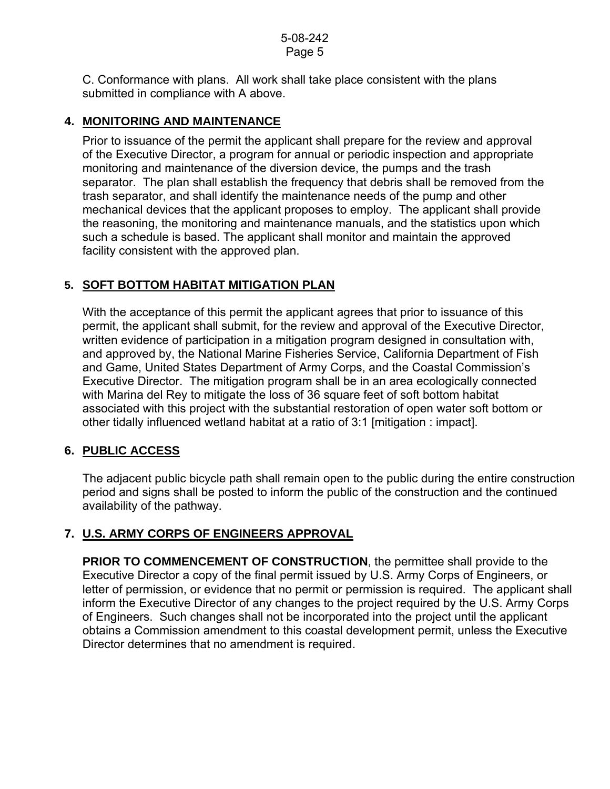C. Conformance with plans. All work shall take place consistent with the plans submitted in compliance with A above.

## **4. MONITORING AND MAINTENANCE**

Prior to issuance of the permit the applicant shall prepare for the review and approval of the Executive Director, a program for annual or periodic inspection and appropriate monitoring and maintenance of the diversion device, the pumps and the trash separator. The plan shall establish the frequency that debris shall be removed from the trash separator, and shall identify the maintenance needs of the pump and other mechanical devices that the applicant proposes to employ. The applicant shall provide the reasoning, the monitoring and maintenance manuals, and the statistics upon which such a schedule is based. The applicant shall monitor and maintain the approved facility consistent with the approved plan.

# **5. SOFT BOTTOM HABITAT MITIGATION PLAN**

With the acceptance of this permit the applicant agrees that prior to issuance of this permit, the applicant shall submit, for the review and approval of the Executive Director, written evidence of participation in a mitigation program designed in consultation with, and approved by, the National Marine Fisheries Service, California Department of Fish and Game, United States Department of Army Corps, and the Coastal Commission's Executive Director. The mitigation program shall be in an area ecologically connected with Marina del Rey to mitigate the loss of 36 square feet of soft bottom habitat associated with this project with the substantial restoration of open water soft bottom or other tidally influenced wetland habitat at a ratio of 3:1 [mitigation : impact].

# **6. PUBLIC ACCESS**

The adjacent public bicycle path shall remain open to the public during the entire construction period and signs shall be posted to inform the public of the construction and the continued availability of the pathway.

# **7. U.S. ARMY CORPS OF ENGINEERS APPROVAL**

**PRIOR TO COMMENCEMENT OF CONSTRUCTION, the permittee shall provide to the** Executive Director a copy of the final permit issued by U.S. Army Corps of Engineers, or letter of permission, or evidence that no permit or permission is required. The applicant shall inform the Executive Director of any changes to the project required by the U.S. Army Corps of Engineers. Such changes shall not be incorporated into the project until the applicant obtains a Commission amendment to this coastal development permit, unless the Executive Director determines that no amendment is required.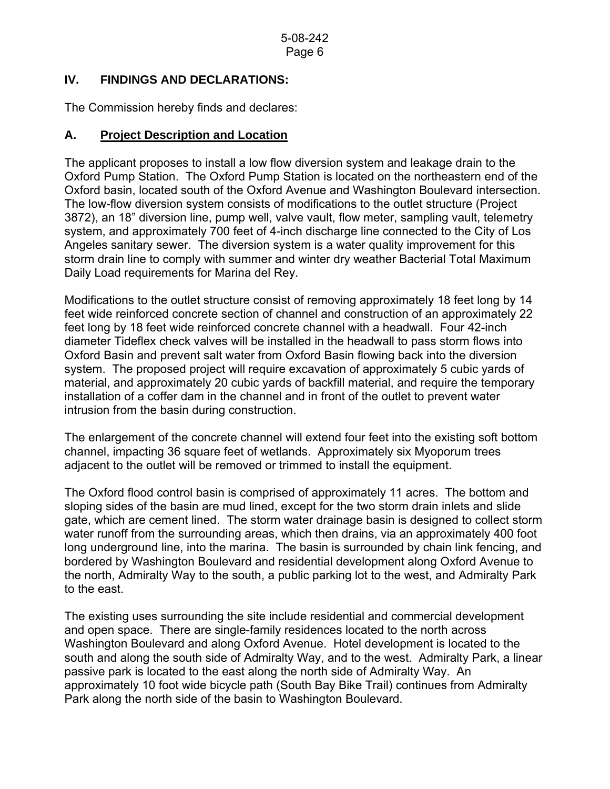## **IV. FINDINGS AND DECLARATIONS:**

The Commission hereby finds and declares:

# **A. Project Description and Location**

The applicant proposes to install a low flow diversion system and leakage drain to the Oxford Pump Station. The Oxford Pump Station is located on the northeastern end of the Oxford basin, located south of the Oxford Avenue and Washington Boulevard intersection. The low-flow diversion system consists of modifications to the outlet structure (Project 3872), an 18" diversion line, pump well, valve vault, flow meter, sampling vault, telemetry system, and approximately 700 feet of 4-inch discharge line connected to the City of Los Angeles sanitary sewer. The diversion system is a water quality improvement for this storm drain line to comply with summer and winter dry weather Bacterial Total Maximum Daily Load requirements for Marina del Rey.

Modifications to the outlet structure consist of removing approximately 18 feet long by 14 feet wide reinforced concrete section of channel and construction of an approximately 22 feet long by 18 feet wide reinforced concrete channel with a headwall. Four 42-inch diameter Tideflex check valves will be installed in the headwall to pass storm flows into Oxford Basin and prevent salt water from Oxford Basin flowing back into the diversion system. The proposed project will require excavation of approximately 5 cubic yards of material, and approximately 20 cubic yards of backfill material, and require the temporary installation of a coffer dam in the channel and in front of the outlet to prevent water intrusion from the basin during construction.

The enlargement of the concrete channel will extend four feet into the existing soft bottom channel, impacting 36 square feet of wetlands. Approximately six Myoporum trees adjacent to the outlet will be removed or trimmed to install the equipment.

The Oxford flood control basin is comprised of approximately 11 acres. The bottom and sloping sides of the basin are mud lined, except for the two storm drain inlets and slide gate, which are cement lined. The storm water drainage basin is designed to collect storm water runoff from the surrounding areas, which then drains, via an approximately 400 foot long underground line, into the marina. The basin is surrounded by chain link fencing, and bordered by Washington Boulevard and residential development along Oxford Avenue to the north, Admiralty Way to the south, a public parking lot to the west, and Admiralty Park to the east.

The existing uses surrounding the site include residential and commercial development and open space. There are single-family residences located to the north across Washington Boulevard and along Oxford Avenue. Hotel development is located to the south and along the south side of Admiralty Way, and to the west. Admiralty Park, a linear passive park is located to the east along the north side of Admiralty Way. An approximately 10 foot wide bicycle path (South Bay Bike Trail) continues from Admiralty Park along the north side of the basin to Washington Boulevard.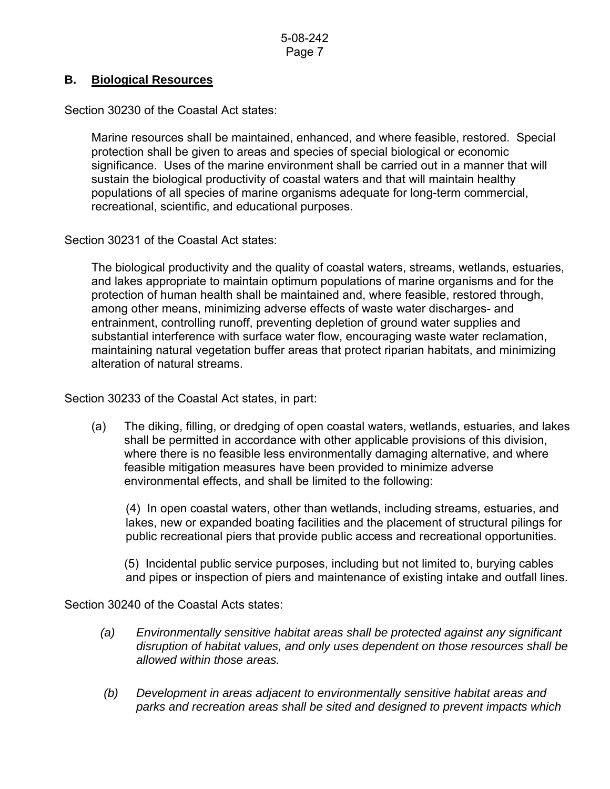## **B. Biological Resources**

Section 30230 of the Coastal Act states:

Marine resources shall be maintained, enhanced, and where feasible, restored. Special protection shall be given to areas and species of special biological or economic significance. Uses of the marine environment shall be carried out in a manner that will sustain the biological productivity of coastal waters and that will maintain healthy populations of all species of marine organisms adequate for long-term commercial, recreational, scientific, and educational purposes.

Section 30231 of the Coastal Act states:

The biological productivity and the quality of coastal waters, streams, wetlands, estuaries, and lakes appropriate to maintain optimum populations of marine organisms and for the protection of human health shall be maintained and, where feasible, restored through, among other means, minimizing adverse effects of waste water discharges- and entrainment, controlling runoff, preventing depletion of ground water supplies and substantial interference with surface water flow, encouraging waste water reclamation, maintaining natural vegetation buffer areas that protect riparian habitats, and minimizing alteration of natural streams.

Section 30233 of the Coastal Act states, in part:

 (a) The diking, filling, or dredging of open coastal waters, wetlands, estuaries, and lakes shall be permitted in accordance with other applicable provisions of this division, where there is no feasible less environmentally damaging alternative, and where feasible mitigation measures have been provided to minimize adverse environmental effects, and shall be limited to the following:

 (4) In open coastal waters, other than wetlands, including streams, estuaries, and lakes, new or expanded boating facilities and the placement of structural pilings for public recreational piers that provide public access and recreational opportunities.

 (5) Incidental public service purposes, including but not limited to, burying cables and pipes or inspection of piers and maintenance of existing intake and outfall lines.

Section 30240 of the Coastal Acts states:

- *(a) Environmentally sensitive habitat areas shall be protected against any significant disruption of habitat values, and only uses dependent on those resources shall be allowed within those areas.*
- *(b) Development in areas adjacent to environmentally sensitive habitat areas and parks and recreation areas shall be sited and designed to prevent impacts which*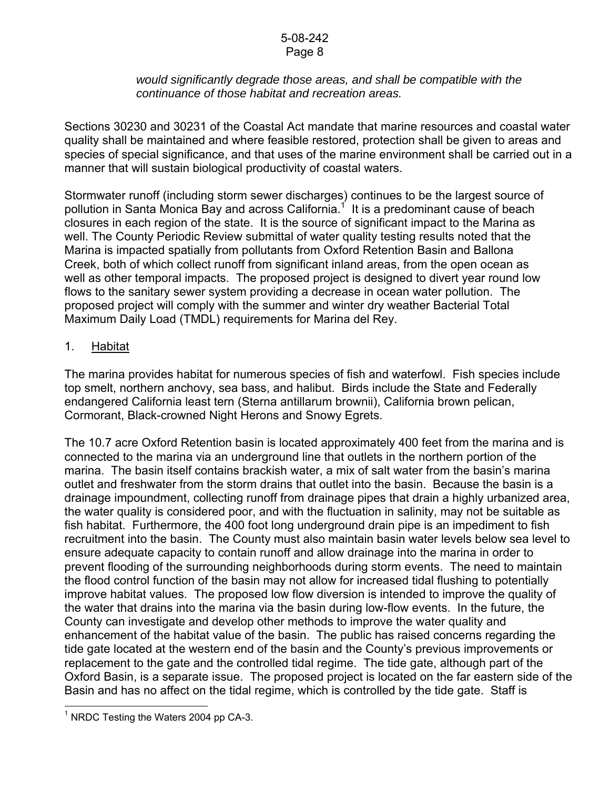#### 5-08-242 Page 8

## *would significantly degrade those areas, and shall be compatible with the continuance of those habitat and recreation areas.*

Sections 30230 and 30231 of the Coastal Act mandate that marine resources and coastal water quality shall be maintained and where feasible restored, protection shall be given to areas and species of special significance, and that uses of the marine environment shall be carried out in a manner that will sustain biological productivity of coastal waters.

Stormwater runoff (including storm sewer discharges) continues to be the largest source of pollution in Santa Monica Bay and across California.<sup>1</sup> It is a predominant cause of beach closures in each region of the state. It is the source of significant impact to the Marina as well. The County Periodic Review submittal of water quality testing results noted that the Marina is impacted spatially from pollutants from Oxford Retention Basin and Ballona Creek, both of which collect runoff from significant inland areas, from the open ocean as well as other temporal impacts. The proposed project is designed to divert year round low flows to the sanitary sewer system providing a decrease in ocean water pollution. The proposed project will comply with the summer and winter dry weather Bacterial Total Maximum Daily Load (TMDL) requirements for Marina del Rey.

## 1. Habitat

The marina provides habitat for numerous species of fish and waterfowl. Fish species include top smelt, northern anchovy, sea bass, and halibut. Birds include the State and Federally endangered California least tern (Sterna antillarum brownii), California brown pelican, Cormorant, Black-crowned Night Herons and Snowy Egrets.

The 10.7 acre Oxford Retention basin is located approximately 400 feet from the marina and is connected to the marina via an underground line that outlets in the northern portion of the marina. The basin itself contains brackish water, a mix of salt water from the basin's marina outlet and freshwater from the storm drains that outlet into the basin. Because the basin is a drainage impoundment, collecting runoff from drainage pipes that drain a highly urbanized area, the water quality is considered poor, and with the fluctuation in salinity, may not be suitable as fish habitat. Furthermore, the 400 foot long underground drain pipe is an impediment to fish recruitment into the basin. The County must also maintain basin water levels below sea level to ensure adequate capacity to contain runoff and allow drainage into the marina in order to prevent flooding of the surrounding neighborhoods during storm events. The need to maintain the flood control function of the basin may not allow for increased tidal flushing to potentially improve habitat values. The proposed low flow diversion is intended to improve the quality of the water that drains into the marina via the basin during low-flow events. In the future, the County can investigate and develop other methods to improve the water quality and enhancement of the habitat value of the basin. The public has raised concerns regarding the tide gate located at the western end of the basin and the County's previous improvements or replacement to the gate and the controlled tidal regime. The tide gate, although part of the Oxford Basin, is a separate issue. The proposed project is located on the far eastern side of the Basin and has no affect on the tidal regime, which is controlled by the tide gate. Staff is

l

<span id="page-7-0"></span><sup>&</sup>lt;sup>1</sup> NRDC Testing the Waters 2004 pp CA-3.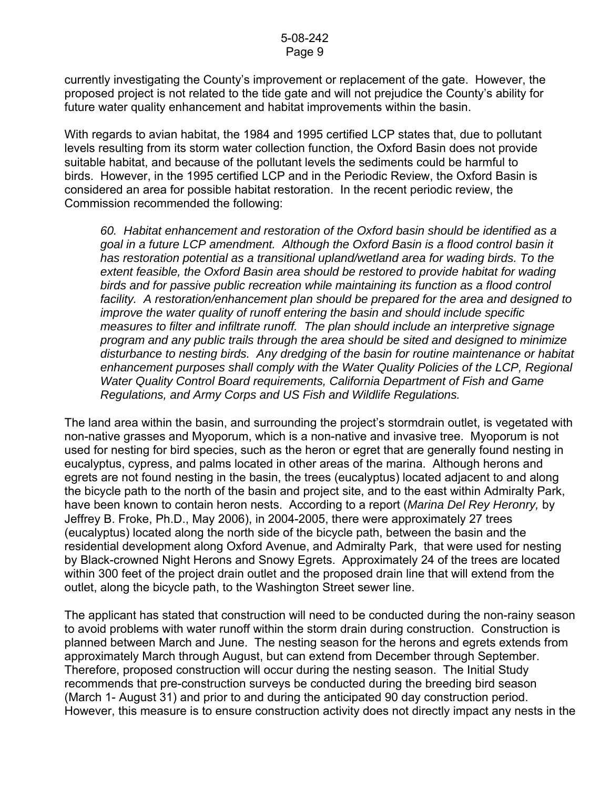currently investigating the County's improvement or replacement of the gate. However, the proposed project is not related to the tide gate and will not prejudice the County's ability for future water quality enhancement and habitat improvements within the basin.

With regards to avian habitat, the 1984 and 1995 certified LCP states that, due to pollutant levels resulting from its storm water collection function, the Oxford Basin does not provide suitable habitat, and because of the pollutant levels the sediments could be harmful to birds. However, in the 1995 certified LCP and in the Periodic Review, the Oxford Basin is considered an area for possible habitat restoration. In the recent periodic review, the Commission recommended the following:

*60. Habitat enhancement and restoration of the Oxford basin should be identified as a goal in a future LCP amendment. Although the Oxford Basin is a flood control basin it has restoration potential as a transitional upland/wetland area for wading birds. To the extent feasible, the Oxford Basin area should be restored to provide habitat for wading birds and for passive public recreation while maintaining its function as a flood control facility. A restoration/enhancement plan should be prepared for the area and designed to improve the water quality of runoff entering the basin and should include specific measures to filter and infiltrate runoff. The plan should include an interpretive signage program and any public trails through the area should be sited and designed to minimize disturbance to nesting birds. Any dredging of the basin for routine maintenance or habitat enhancement purposes shall comply with the Water Quality Policies of the LCP, Regional Water Quality Control Board requirements, California Department of Fish and Game Regulations, and Army Corps and US Fish and Wildlife Regulations.* 

The land area within the basin, and surrounding the project's stormdrain outlet, is vegetated with non-native grasses and Myoporum, which is a non-native and invasive tree. Myoporum is not used for nesting for bird species, such as the heron or egret that are generally found nesting in eucalyptus, cypress, and palms located in other areas of the marina. Although herons and egrets are not found nesting in the basin, the trees (eucalyptus) located adjacent to and along the bicycle path to the north of the basin and project site, and to the east within Admiralty Park, have been known to contain heron nests. According to a report (*Marina Del Rey Heronry,* by Jeffrey B. Froke, Ph.D., May 2006), in 2004-2005, there were approximately 27 trees (eucalyptus) located along the north side of the bicycle path, between the basin and the residential development along Oxford Avenue, and Admiralty Park, that were used for nesting by Black-crowned Night Herons and Snowy Egrets. Approximately 24 of the trees are located within 300 feet of the project drain outlet and the proposed drain line that will extend from the outlet, along the bicycle path, to the Washington Street sewer line.

The applicant has stated that construction will need to be conducted during the non-rainy season to avoid problems with water runoff within the storm drain during construction. Construction is planned between March and June. The nesting season for the herons and egrets extends from approximately March through August, but can extend from December through September. Therefore, proposed construction will occur during the nesting season. The Initial Study recommends that pre-construction surveys be conducted during the breeding bird season (March 1- August 31) and prior to and during the anticipated 90 day construction period. However, this measure is to ensure construction activity does not directly impact any nests in the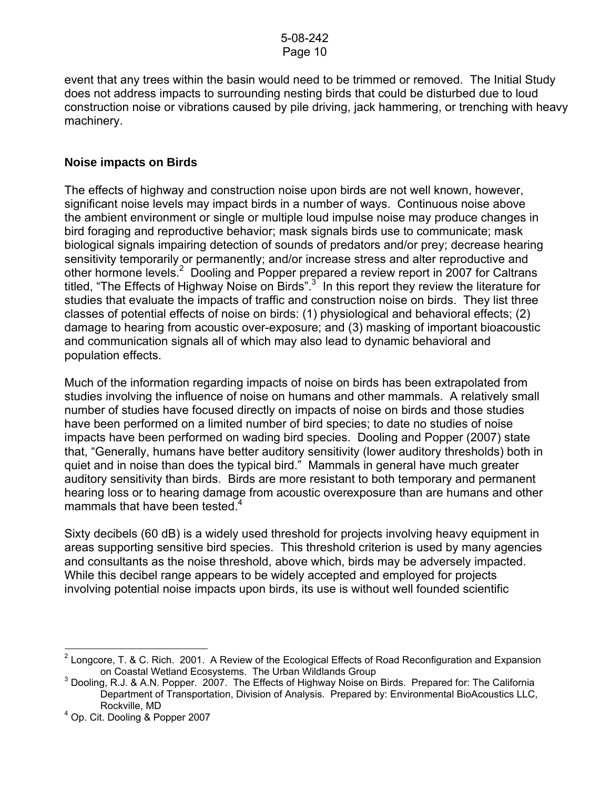event that any trees within the basin would need to be trimmed or removed. The Initial Study does not address impacts to surrounding nesting birds that could be disturbed due to loud construction noise or vibrations caused by pile driving, jack hammering, or trenching with heavy machinery.

## **Noise impacts on Birds**

The effects of highway and construction noise upon birds are not well known, however, significant noise levels may impact birds in a number of ways. Continuous noise above the ambient environment or single or multiple loud impulse noise may produce changes in bird foraging and reproductive behavior; mask signals birds use to communicate; mask biological signals impairing detection of sounds of predators and/or prey; decrease hearing sensitivity temporarily or permanently; and/or increase stress and alter reproductive and other hormone levels.<sup>[2](#page-9-0)</sup> Dooling and Popper prepared a review report in 2007 for Caltrans titled, "The Effects of Highway Noise on Birds".<sup>[3](#page-9-1)</sup> In this report they review the literature for studies that evaluate the impacts of traffic and construction noise on birds. They list three classes of potential effects of noise on birds: (1) physiological and behavioral effects; (2) damage to hearing from acoustic over-exposure; and (3) masking of important bioacoustic and communication signals all of which may also lead to dynamic behavioral and population effects.

Much of the information regarding impacts of noise on birds has been extrapolated from studies involving the influence of noise on humans and other mammals. A relatively small number of studies have focused directly on impacts of noise on birds and those studies have been performed on a limited number of bird species; to date no studies of noise impacts have been performed on wading bird species. Dooling and Popper (2007) state that, "Generally, humans have better auditory sensitivity (lower auditory thresholds) both in quiet and in noise than does the typical bird." Mammals in general have much greater auditory sensitivity than birds. Birds are more resistant to both temporary and permanent hearing loss or to hearing damage from acoustic overexposure than are humans and other mammals that have been tested. $4$ 

Sixty decibels (60 dB) is a widely used threshold for projects involving heavy equipment in areas supporting sensitive bird species. This threshold criterion is used by many agencies and consultants as the noise threshold, above which, birds may be adversely impacted. While this decibel range appears to be widely accepted and employed for projects involving potential noise impacts upon birds, its use is without well founded scientific

<span id="page-9-0"></span> 2 Longcore, T. & C. Rich. 2001. A Review of the Ecological Effects of Road Reconfiguration and Expansion on Coastal Wetland Ecosystems. The Urban Wildlands Group <sup>3</sup>

<span id="page-9-1"></span> $3$  Dooling, R.J. & A.N. Popper. 2007. The Effects of Highway Noise on Birds. Prepared for: The California Department of Transportation, Division of Analysis. Prepared by: Environmental BioAcoustics LLC, Rockville, MD

<span id="page-9-2"></span><sup>4</sup> Op. Cit. Dooling & Popper 2007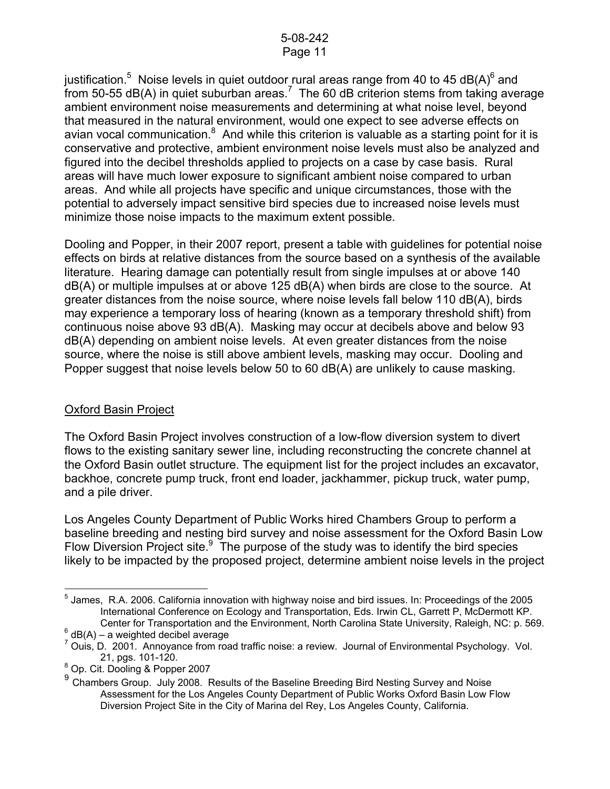justification.<sup>[5](#page-10-0)</sup> Noise levels in quiet outdoor rural areas range from 40 to 45 dB(A)<sup>6</sup> and from 50-55 dB(A) in quiet suburban areas.<sup>[7](#page-10-2)</sup> The 60 dB criterion stems from taking average ambient environment noise measurements and determining at what noise level, beyond that measured in the natural environment, would one expect to see adverse effects on avian vocal communication. $8$  And while this criterion is valuable as a starting point for it is conservative and protective, ambient environment noise levels must also be analyzed and figured into the decibel thresholds applied to projects on a case by case basis. Rural areas will have much lower exposure to significant ambient noise compared to urban areas. And while all projects have specific and unique circumstances, those with the potential to adversely impact sensitive bird species due to increased noise levels must minimize those noise impacts to the maximum extent possible.

Dooling and Popper, in their 2007 report, present a table with guidelines for potential noise effects on birds at relative distances from the source based on a synthesis of the available literature. Hearing damage can potentially result from single impulses at or above 140 dB(A) or multiple impulses at or above 125 dB(A) when birds are close to the source. At greater distances from the noise source, where noise levels fall below 110 dB(A), birds may experience a temporary loss of hearing (known as a temporary threshold shift) from continuous noise above 93 dB(A). Masking may occur at decibels above and below 93 dB(A) depending on ambient noise levels. At even greater distances from the noise source, where the noise is still above ambient levels, masking may occur. Dooling and Popper suggest that noise levels below 50 to 60 dB(A) are unlikely to cause masking.

## Oxford Basin Project

The Oxford Basin Project involves construction of a low-flow diversion system to divert flows to the existing sanitary sewer line, including reconstructing the concrete channel at the Oxford Basin outlet structure. The equipment list for the project includes an excavator, backhoe, concrete pump truck, front end loader, jackhammer, pickup truck, water pump, and a pile driver.

Los Angeles County Department of Public Works hired Chambers Group to perform a baseline breeding and nesting bird survey and noise assessment for the Oxford Basin Low Flow Diversion Project site. $9\text{ The purpose of the study was to identify the bird species}$  $9\text{ The purpose of the study was to identify the bird species}$ likely to be impacted by the proposed project, determine ambient noise levels in the project

<span id="page-10-0"></span> 5 James, R.A. 2006. California innovation with highway noise and bird issues. In: Proceedings of the 2005 International Conference on Ecology and Transportation, Eds. Irwin CL, Garrett P, McDermott KP. Center for Transportation and the Environment, North Carolina State University, Raleigh, NC: p. 569.

<span id="page-10-1"></span> $6$  dB(A) – a weighted decibel average

<span id="page-10-2"></span> $^7$  Ouis, D. 2001. Annoyance from road traffic noise: a review. Journal of Environmental Psychology. Vol.

<span id="page-10-3"></span><sup>21,</sup> pgs. 101-120.<br><sup>8</sup> Op. Cit. Dooling & Popper 2007

<span id="page-10-4"></span><sup>&</sup>lt;sup>9</sup> Chambers Group. July 2008. Results of the Baseline Breeding Bird Nesting Survey and Noise Assessment for the Los Angeles County Department of Public Works Oxford Basin Low Flow Diversion Project Site in the City of Marina del Rey, Los Angeles County, California.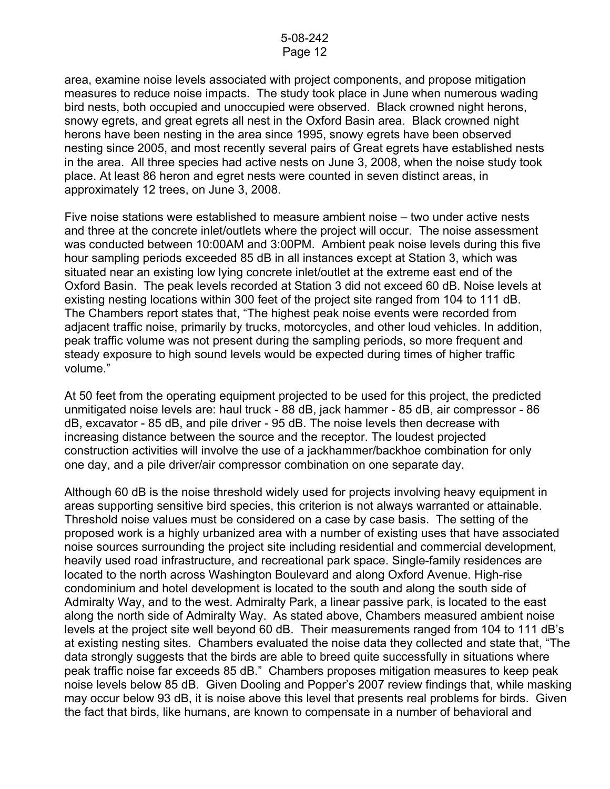area, examine noise levels associated with project components, and propose mitigation measures to reduce noise impacts. The study took place in June when numerous wading bird nests, both occupied and unoccupied were observed. Black crowned night herons, snowy egrets, and great egrets all nest in the Oxford Basin area. Black crowned night herons have been nesting in the area since 1995, snowy egrets have been observed nesting since 2005, and most recently several pairs of Great egrets have established nests in the area. All three species had active nests on June 3, 2008, when the noise study took place. At least 86 heron and egret nests were counted in seven distinct areas, in approximately 12 trees, on June 3, 2008.

Five noise stations were established to measure ambient noise – two under active nests and three at the concrete inlet/outlets where the project will occur. The noise assessment was conducted between 10:00AM and 3:00PM. Ambient peak noise levels during this five hour sampling periods exceeded 85 dB in all instances except at Station 3, which was situated near an existing low lying concrete inlet/outlet at the extreme east end of the Oxford Basin. The peak levels recorded at Station 3 did not exceed 60 dB. Noise levels at existing nesting locations within 300 feet of the project site ranged from 104 to 111 dB. The Chambers report states that, "The highest peak noise events were recorded from adjacent traffic noise, primarily by trucks, motorcycles, and other loud vehicles. In addition, peak traffic volume was not present during the sampling periods, so more frequent and steady exposure to high sound levels would be expected during times of higher traffic volume."

At 50 feet from the operating equipment projected to be used for this project, the predicted unmitigated noise levels are: haul truck - 88 dB, jack hammer - 85 dB, air compressor - 86 dB, excavator - 85 dB, and pile driver - 95 dB. The noise levels then decrease with increasing distance between the source and the receptor. The loudest projected construction activities will involve the use of a jackhammer/backhoe combination for only one day, and a pile driver/air compressor combination on one separate day.

Although 60 dB is the noise threshold widely used for projects involving heavy equipment in areas supporting sensitive bird species, this criterion is not always warranted or attainable. Threshold noise values must be considered on a case by case basis. The setting of the proposed work is a highly urbanized area with a number of existing uses that have associated noise sources surrounding the project site including residential and commercial development, heavily used road infrastructure, and recreational park space. Single-family residences are located to the north across Washington Boulevard and along Oxford Avenue. High-rise condominium and hotel development is located to the south and along the south side of Admiralty Way, and to the west. Admiralty Park, a linear passive park, is located to the east along the north side of Admiralty Way. As stated above, Chambers measured ambient noise levels at the project site well beyond 60 dB. Their measurements ranged from 104 to 111 dB's at existing nesting sites. Chambers evaluated the noise data they collected and state that, "The data strongly suggests that the birds are able to breed quite successfully in situations where peak traffic noise far exceeds 85 dB." Chambers proposes mitigation measures to keep peak noise levels below 85 dB. Given Dooling and Popper's 2007 review findings that, while masking may occur below 93 dB, it is noise above this level that presents real problems for birds. Given the fact that birds, like humans, are known to compensate in a number of behavioral and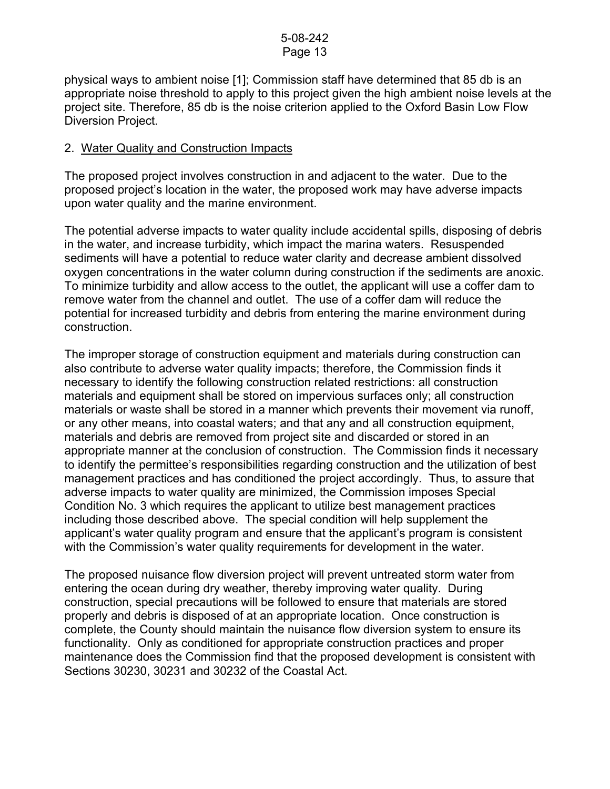physical ways to ambient noise [1]; Commission staff have determined that 85 db is an appropriate noise threshold to apply to this project given the high ambient noise levels at the project site. Therefore, 85 db is the noise criterion applied to the Oxford Basin Low Flow Diversion Project.

## 2. Water Quality and Construction Impacts

The proposed project involves construction in and adjacent to the water. Due to the proposed project's location in the water, the proposed work may have adverse impacts upon water quality and the marine environment.

The potential adverse impacts to water quality include accidental spills, disposing of debris in the water, and increase turbidity, which impact the marina waters. Resuspended sediments will have a potential to reduce water clarity and decrease ambient dissolved oxygen concentrations in the water column during construction if the sediments are anoxic. To minimize turbidity and allow access to the outlet, the applicant will use a coffer dam to remove water from the channel and outlet. The use of a coffer dam will reduce the potential for increased turbidity and debris from entering the marine environment during construction.

The improper storage of construction equipment and materials during construction can also contribute to adverse water quality impacts; therefore, the Commission finds it necessary to identify the following construction related restrictions: all construction materials and equipment shall be stored on impervious surfaces only; all construction materials or waste shall be stored in a manner which prevents their movement via runoff, or any other means, into coastal waters; and that any and all construction equipment, materials and debris are removed from project site and discarded or stored in an appropriate manner at the conclusion of construction. The Commission finds it necessary to identify the permittee's responsibilities regarding construction and the utilization of best management practices and has conditioned the project accordingly. Thus, to assure that adverse impacts to water quality are minimized, the Commission imposes Special Condition No. 3 which requires the applicant to utilize best management practices including those described above. The special condition will help supplement the applicant's water quality program and ensure that the applicant's program is consistent with the Commission's water quality requirements for development in the water.

The proposed nuisance flow diversion project will prevent untreated storm water from entering the ocean during dry weather, thereby improving water quality. During construction, special precautions will be followed to ensure that materials are stored properly and debris is disposed of at an appropriate location. Once construction is complete, the County should maintain the nuisance flow diversion system to ensure its functionality. Only as conditioned for appropriate construction practices and proper maintenance does the Commission find that the proposed development is consistent with Sections 30230, 30231 and 30232 of the Coastal Act.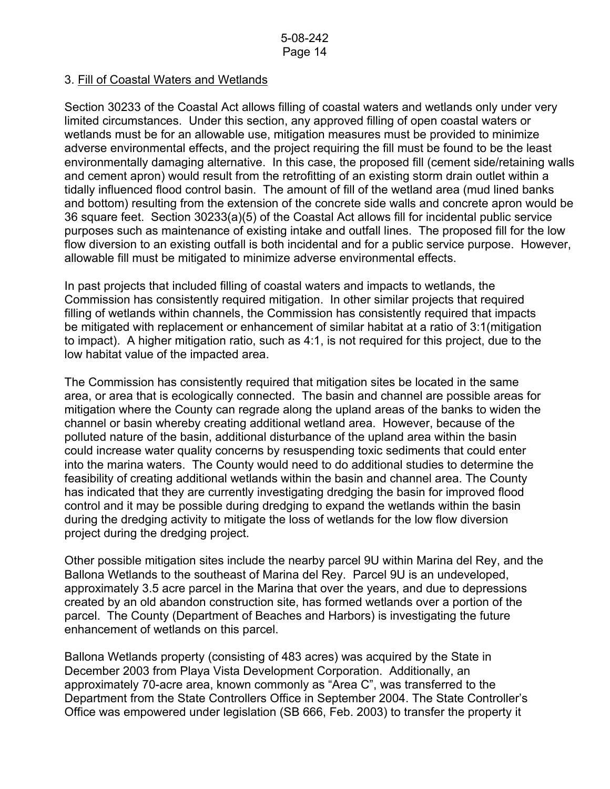## 3. Fill of Coastal Waters and Wetlands

Section 30233 of the Coastal Act allows filling of coastal waters and wetlands only under very limited circumstances. Under this section, any approved filling of open coastal waters or wetlands must be for an allowable use, mitigation measures must be provided to minimize adverse environmental effects, and the project requiring the fill must be found to be the least environmentally damaging alternative. In this case, the proposed fill (cement side/retaining walls and cement apron) would result from the retrofitting of an existing storm drain outlet within a tidally influenced flood control basin. The amount of fill of the wetland area (mud lined banks and bottom) resulting from the extension of the concrete side walls and concrete apron would be 36 square feet. Section 30233(a)(5) of the Coastal Act allows fill for incidental public service purposes such as maintenance of existing intake and outfall lines. The proposed fill for the low flow diversion to an existing outfall is both incidental and for a public service purpose. However, allowable fill must be mitigated to minimize adverse environmental effects.

In past projects that included filling of coastal waters and impacts to wetlands, the Commission has consistently required mitigation. In other similar projects that required filling of wetlands within channels, the Commission has consistently required that impacts be mitigated with replacement or enhancement of similar habitat at a ratio of 3:1(mitigation to impact). A higher mitigation ratio, such as 4:1, is not required for this project, due to the low habitat value of the impacted area.

The Commission has consistently required that mitigation sites be located in the same area, or area that is ecologically connected. The basin and channel are possible areas for mitigation where the County can regrade along the upland areas of the banks to widen the channel or basin whereby creating additional wetland area. However, because of the polluted nature of the basin, additional disturbance of the upland area within the basin could increase water quality concerns by resuspending toxic sediments that could enter into the marina waters. The County would need to do additional studies to determine the feasibility of creating additional wetlands within the basin and channel area. The County has indicated that they are currently investigating dredging the basin for improved flood control and it may be possible during dredging to expand the wetlands within the basin during the dredging activity to mitigate the loss of wetlands for the low flow diversion project during the dredging project.

Other possible mitigation sites include the nearby parcel 9U within Marina del Rey, and the Ballona Wetlands to the southeast of Marina del Rey. Parcel 9U is an undeveloped, approximately 3.5 acre parcel in the Marina that over the years, and due to depressions created by an old abandon construction site, has formed wetlands over a portion of the parcel. The County (Department of Beaches and Harbors) is investigating the future enhancement of wetlands on this parcel.

Ballona Wetlands property (consisting of 483 acres) was acquired by the State in December 2003 from Playa Vista Development Corporation. Additionally, an approximately 70-acre area, known commonly as "Area C", was transferred to the Department from the State Controllers Office in September 2004. The State Controller's Office was empowered under legislation (SB 666, Feb. 2003) to transfer the property it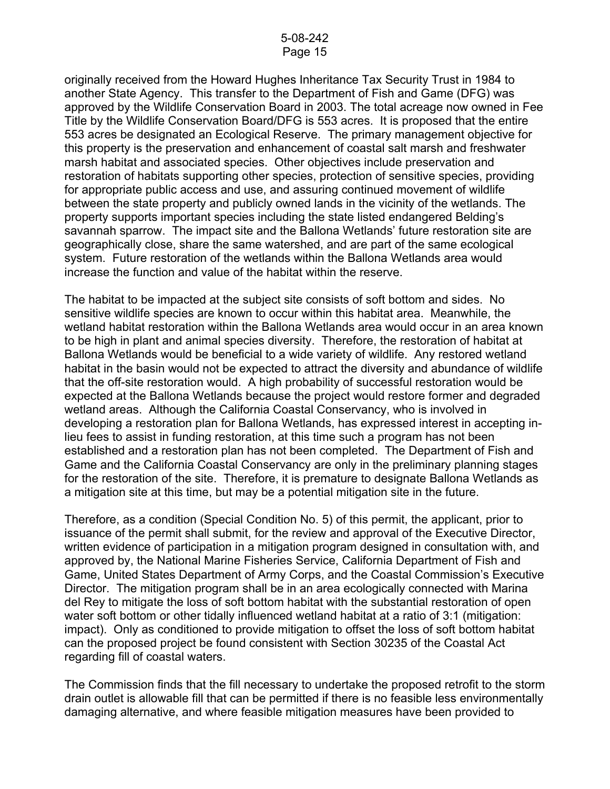originally received from the Howard Hughes Inheritance Tax Security Trust in 1984 to another State Agency. This transfer to the Department of Fish and Game (DFG) was approved by the Wildlife Conservation Board in 2003. The total acreage now owned in Fee Title by the Wildlife Conservation Board/DFG is 553 acres. It is proposed that the entire 553 acres be designated an Ecological Reserve. The primary management objective for this property is the preservation and enhancement of coastal salt marsh and freshwater marsh habitat and associated species. Other objectives include preservation and restoration of habitats supporting other species, protection of sensitive species, providing for appropriate public access and use, and assuring continued movement of wildlife between the state property and publicly owned lands in the vicinity of the wetlands. The property supports important species including the state listed endangered Belding's savannah sparrow. The impact site and the Ballona Wetlands' future restoration site are geographically close, share the same watershed, and are part of the same ecological system. Future restoration of the wetlands within the Ballona Wetlands area would increase the function and value of the habitat within the reserve.

The habitat to be impacted at the subject site consists of soft bottom and sides. No sensitive wildlife species are known to occur within this habitat area. Meanwhile, the wetland habitat restoration within the Ballona Wetlands area would occur in an area known to be high in plant and animal species diversity. Therefore, the restoration of habitat at Ballona Wetlands would be beneficial to a wide variety of wildlife. Any restored wetland habitat in the basin would not be expected to attract the diversity and abundance of wildlife that the off-site restoration would. A high probability of successful restoration would be expected at the Ballona Wetlands because the project would restore former and degraded wetland areas. Although the California Coastal Conservancy, who is involved in developing a restoration plan for Ballona Wetlands, has expressed interest in accepting inlieu fees to assist in funding restoration, at this time such a program has not been established and a restoration plan has not been completed. The Department of Fish and Game and the California Coastal Conservancy are only in the preliminary planning stages for the restoration of the site. Therefore, it is premature to designate Ballona Wetlands as a mitigation site at this time, but may be a potential mitigation site in the future.

Therefore, as a condition (Special Condition No. 5) of this permit, the applicant, prior to issuance of the permit shall submit, for the review and approval of the Executive Director, written evidence of participation in a mitigation program designed in consultation with, and approved by, the National Marine Fisheries Service, California Department of Fish and Game, United States Department of Army Corps, and the Coastal Commission's Executive Director. The mitigation program shall be in an area ecologically connected with Marina del Rey to mitigate the loss of soft bottom habitat with the substantial restoration of open water soft bottom or other tidally influenced wetland habitat at a ratio of 3:1 (mitigation: impact). Only as conditioned to provide mitigation to offset the loss of soft bottom habitat can the proposed project be found consistent with Section 30235 of the Coastal Act regarding fill of coastal waters.

The Commission finds that the fill necessary to undertake the proposed retrofit to the storm drain outlet is allowable fill that can be permitted if there is no feasible less environmentally damaging alternative, and where feasible mitigation measures have been provided to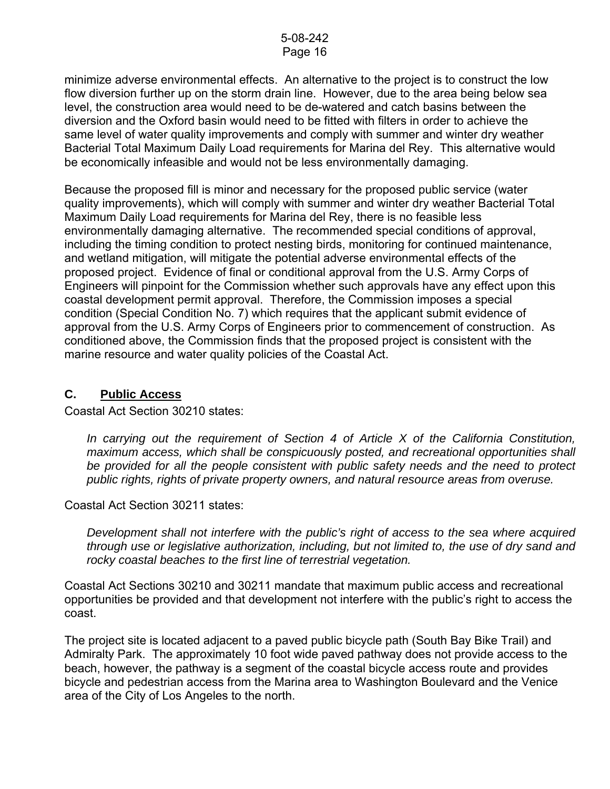minimize adverse environmental effects. An alternative to the project is to construct the low flow diversion further up on the storm drain line. However, due to the area being below sea level, the construction area would need to be de-watered and catch basins between the diversion and the Oxford basin would need to be fitted with filters in order to achieve the same level of water quality improvements and comply with summer and winter dry weather Bacterial Total Maximum Daily Load requirements for Marina del Rey. This alternative would be economically infeasible and would not be less environmentally damaging.

Because the proposed fill is minor and necessary for the proposed public service (water quality improvements), which will comply with summer and winter dry weather Bacterial Total Maximum Daily Load requirements for Marina del Rey, there is no feasible less environmentally damaging alternative. The recommended special conditions of approval, including the timing condition to protect nesting birds, monitoring for continued maintenance, and wetland mitigation, will mitigate the potential adverse environmental effects of the proposed project. Evidence of final or conditional approval from the U.S. Army Corps of Engineers will pinpoint for the Commission whether such approvals have any effect upon this coastal development permit approval. Therefore, the Commission imposes a special condition (Special Condition No. 7) which requires that the applicant submit evidence of approval from the U.S. Army Corps of Engineers prior to commencement of construction. As conditioned above, the Commission finds that the proposed project is consistent with the marine resource and water quality policies of the Coastal Act.

# **C. Public Access**

Coastal Act Section 30210 states:

*In carrying out the requirement of Section 4 of Article X of the California Constitution, maximum access, which shall be conspicuously posted, and recreational opportunities shall be provided for all the people consistent with public safety needs and the need to protect public rights, rights of private property owners, and natural resource areas from overuse.* 

Coastal Act Section 30211 states:

*Development shall not interfere with the public's right of access to the sea where acquired through use or legislative authorization, including, but not limited to, the use of dry sand and rocky coastal beaches to the first line of terrestrial vegetation.* 

Coastal Act Sections 30210 and 30211 mandate that maximum public access and recreational opportunities be provided and that development not interfere with the public's right to access the coast.

The project site is located adjacent to a paved public bicycle path (South Bay Bike Trail) and Admiralty Park. The approximately 10 foot wide paved pathway does not provide access to the beach, however, the pathway is a segment of the coastal bicycle access route and provides bicycle and pedestrian access from the Marina area to Washington Boulevard and the Venice area of the City of Los Angeles to the north.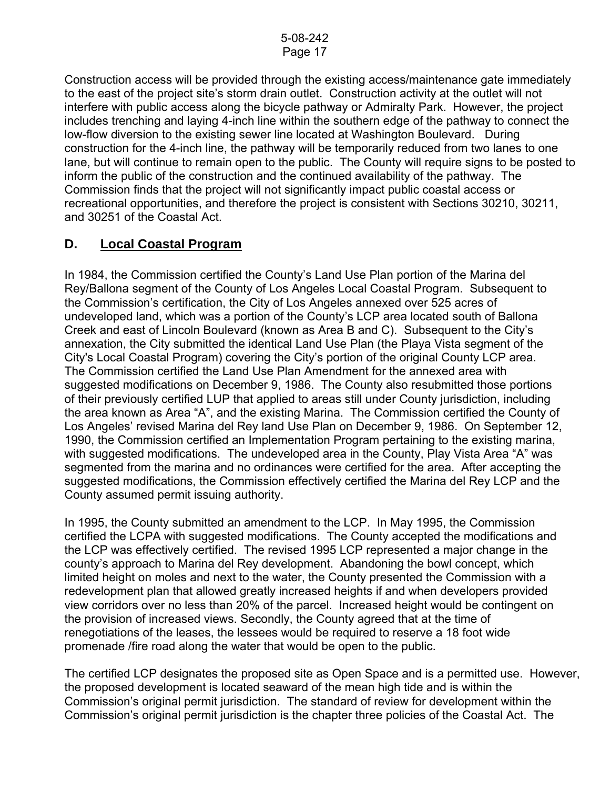Construction access will be provided through the existing access/maintenance gate immediately to the east of the project site's storm drain outlet. Construction activity at the outlet will not interfere with public access along the bicycle pathway or Admiralty Park. However, the project includes trenching and laying 4-inch line within the southern edge of the pathway to connect the low-flow diversion to the existing sewer line located at Washington Boulevard. During construction for the 4-inch line, the pathway will be temporarily reduced from two lanes to one lane, but will continue to remain open to the public. The County will require signs to be posted to inform the public of the construction and the continued availability of the pathway. The Commission finds that the project will not significantly impact public coastal access or recreational opportunities, and therefore the project is consistent with Sections 30210, 30211, and 30251 of the Coastal Act.

# **D. Local Coastal Program**

In 1984, the Commission certified the County's Land Use Plan portion of the Marina del Rey/Ballona segment of the County of Los Angeles Local Coastal Program. Subsequent to the Commission's certification, the City of Los Angeles annexed over 525 acres of undeveloped land, which was a portion of the County's LCP area located south of Ballona Creek and east of Lincoln Boulevard (known as Area B and C). Subsequent to the City's annexation, the City submitted the identical Land Use Plan (the Playa Vista segment of the City's Local Coastal Program) covering the City's portion of the original County LCP area. The Commission certified the Land Use Plan Amendment for the annexed area with suggested modifications on December 9, 1986. The County also resubmitted those portions of their previously certified LUP that applied to areas still under County jurisdiction, including the area known as Area "A", and the existing Marina. The Commission certified the County of Los Angeles' revised Marina del Rey land Use Plan on December 9, 1986. On September 12, 1990, the Commission certified an Implementation Program pertaining to the existing marina, with suggested modifications. The undeveloped area in the County, Play Vista Area "A" was segmented from the marina and no ordinances were certified for the area. After accepting the suggested modifications, the Commission effectively certified the Marina del Rey LCP and the County assumed permit issuing authority.

In 1995, the County submitted an amendment to the LCP. In May 1995, the Commission certified the LCPA with suggested modifications. The County accepted the modifications and the LCP was effectively certified. The revised 1995 LCP represented a major change in the county's approach to Marina del Rey development. Abandoning the bowl concept, which limited height on moles and next to the water, the County presented the Commission with a redevelopment plan that allowed greatly increased heights if and when developers provided view corridors over no less than 20% of the parcel. Increased height would be contingent on the provision of increased views. Secondly, the County agreed that at the time of renegotiations of the leases, the lessees would be required to reserve a 18 foot wide promenade /fire road along the water that would be open to the public.

The certified LCP designates the proposed site as Open Space and is a permitted use. However, the proposed development is located seaward of the mean high tide and is within the Commission's original permit jurisdiction. The standard of review for development within the Commission's original permit jurisdiction is the chapter three policies of the Coastal Act. The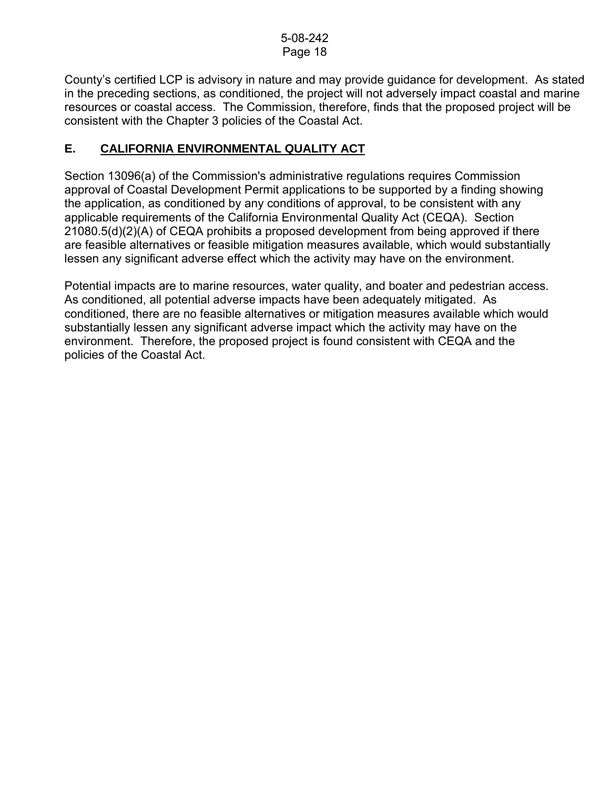County's certified LCP is advisory in nature and may provide guidance for development. As stated in the preceding sections, as conditioned, the project will not adversely impact coastal and marine resources or coastal access. The Commission, therefore, finds that the proposed project will be consistent with the Chapter 3 policies of the Coastal Act.

# **E. CALIFORNIA ENVIRONMENTAL QUALITY ACT**

Section 13096(a) of the Commission's administrative regulations requires Commission approval of Coastal Development Permit applications to be supported by a finding showing the application, as conditioned by any conditions of approval, to be consistent with any applicable requirements of the California Environmental Quality Act (CEQA). Section 21080.5(d)(2)(A) of CEQA prohibits a proposed development from being approved if there are feasible alternatives or feasible mitigation measures available, which would substantially lessen any significant adverse effect which the activity may have on the environment.

Potential impacts are to marine resources, water quality, and boater and pedestrian access. As conditioned, all potential adverse impacts have been adequately mitigated. As conditioned, there are no feasible alternatives or mitigation measures available which would substantially lessen any significant adverse impact which the activity may have on the environment. Therefore, the proposed project is found consistent with CEQA and the policies of the Coastal Act.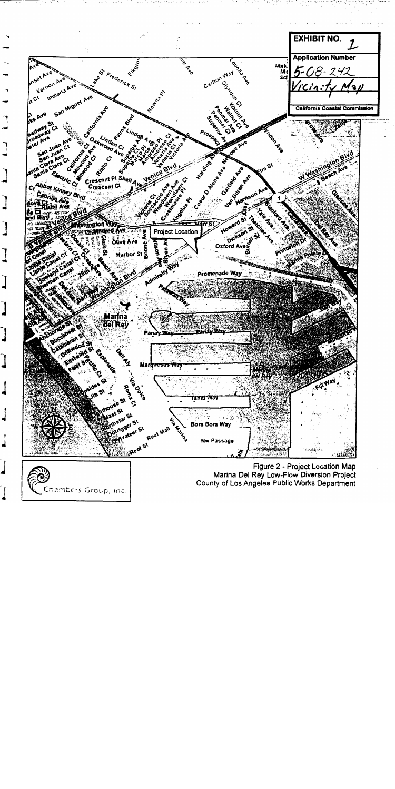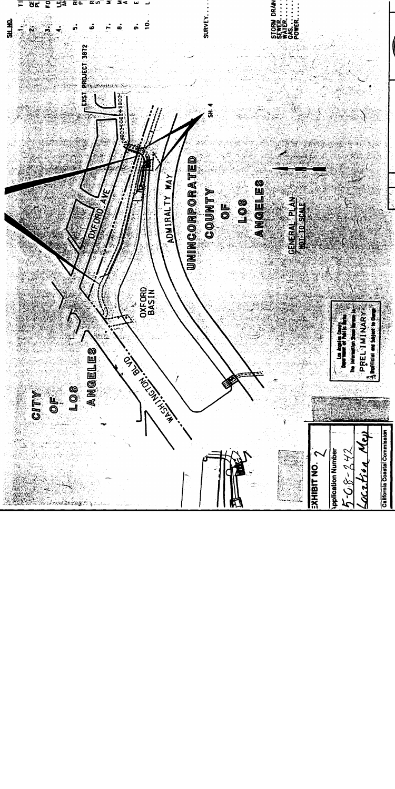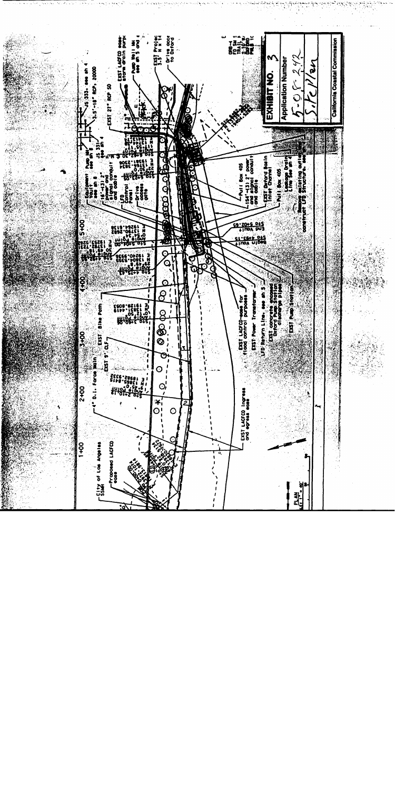